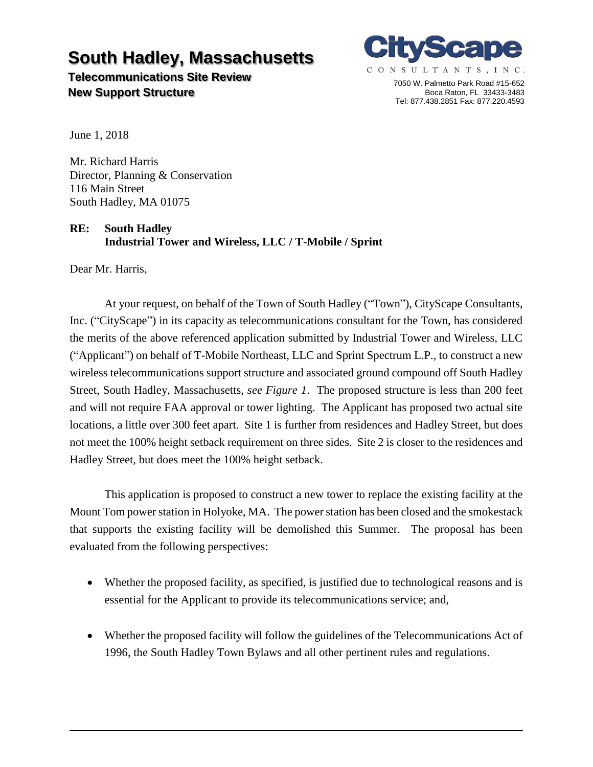# **South Hadley, Massachusetts**

**Telecommunications Site Review New Support Structure**



7050 W. Palmetto Park Road #15-652 Boca Raton, FL 33433-3483 Tel: 877.438.2851 Fax: 877.220.4593

June 1, 2018

Mr. Richard Harris Director, Planning & Conservation 116 Main Street South Hadley, MA 01075

### **RE: South Hadley Industrial Tower and Wireless, LLC / T-Mobile / Sprint**

Dear Mr. Harris,

At your request, on behalf of the Town of South Hadley ("Town"), CityScape Consultants, Inc. ("CityScape") in its capacity as telecommunications consultant for the Town, has considered the merits of the above referenced application submitted by Industrial Tower and Wireless, LLC ("Applicant") on behalf of T-Mobile Northeast, LLC and Sprint Spectrum L.P., to construct a new wireless telecommunications support structure and associated ground compound off South Hadley Street, South Hadley, Massachusetts, *see Figure 1*. The proposed structure is less than 200 feet and will not require FAA approval or tower lighting. The Applicant has proposed two actual site locations, a little over 300 feet apart. Site 1 is further from residences and Hadley Street, but does not meet the 100% height setback requirement on three sides. Site 2 is closer to the residences and Hadley Street, but does meet the 100% height setback.

This application is proposed to construct a new tower to replace the existing facility at the Mount Tom power station in Holyoke, MA. The power station has been closed and the smokestack that supports the existing facility will be demolished this Summer. The proposal has been evaluated from the following perspectives:

- Whether the proposed facility, as specified, is justified due to technological reasons and is essential for the Applicant to provide its telecommunications service; and,
- Whether the proposed facility will follow the guidelines of the Telecommunications Act of 1996, the South Hadley Town Bylaws and all other pertinent rules and regulations.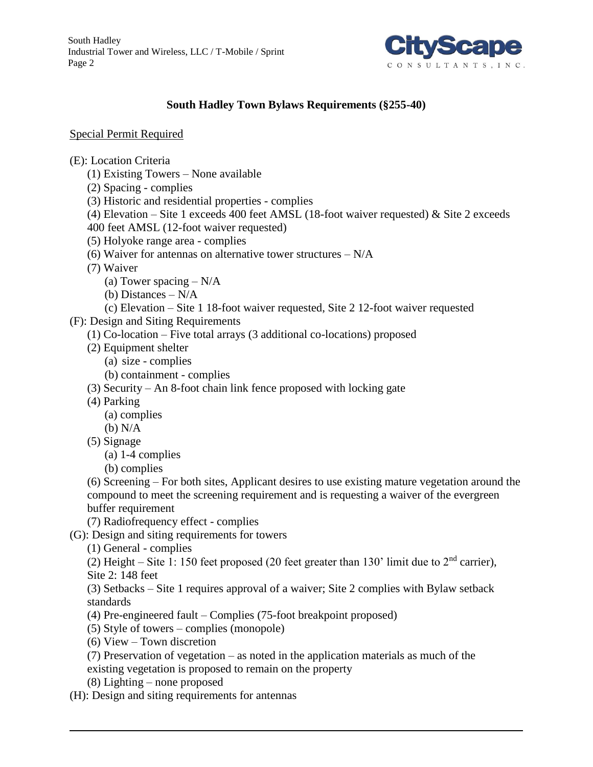South Hadley Industrial Tower and Wireless, LLC / T-Mobile / Sprint Page 2



## **South Hadley Town Bylaws Requirements (§255-40)**

#### Special Permit Required

(E): Location Criteria

- (1) Existing Towers None available
- (2) Spacing complies
- (3) Historic and residential properties complies
- (4) Elevation Site 1 exceeds 400 feet AMSL (18-foot waiver requested)  $\&$  Site 2 exceeds
- 400 feet AMSL (12-foot waiver requested)
- (5) Holyoke range area complies
- (6) Waiver for antennas on alternative tower structures  $-N/A$
- (7) Waiver
	- (a) Tower spacing  $-N/A$
	- (b) Distances N/A
	- (c) Elevation Site 1 18-foot waiver requested, Site 2 12-foot waiver requested
- (F): Design and Siting Requirements
	- (1) Co-location Five total arrays (3 additional co-locations) proposed
	- (2) Equipment shelter
		- (a) size complies
		- (b) containment complies
	- (3) Security An 8-foot chain link fence proposed with locking gate
	- (4) Parking
		- (a) complies
		- (b) N/A
	- (5) Signage
		- (a) 1-4 complies
		- (b) complies

(6) Screening – For both sites, Applicant desires to use existing mature vegetation around the compound to meet the screening requirement and is requesting a waiver of the evergreen buffer requirement

- (7) Radiofrequency effect complies
- (G): Design and siting requirements for towers
	- (1) General complies

(2) Height – Site 1: 150 feet proposed (20 feet greater than 130' limit due to  $2<sup>nd</sup>$  carrier), Site 2: 148 feet

(3) Setbacks – Site 1 requires approval of a waiver; Site 2 complies with Bylaw setback standards

- (4) Pre-engineered fault Complies (75-foot breakpoint proposed)
- (5) Style of towers complies (monopole)
- (6) View Town discretion
- (7) Preservation of vegetation as noted in the application materials as much of the
- existing vegetation is proposed to remain on the property
- (8) Lighting none proposed
- (H): Design and siting requirements for antennas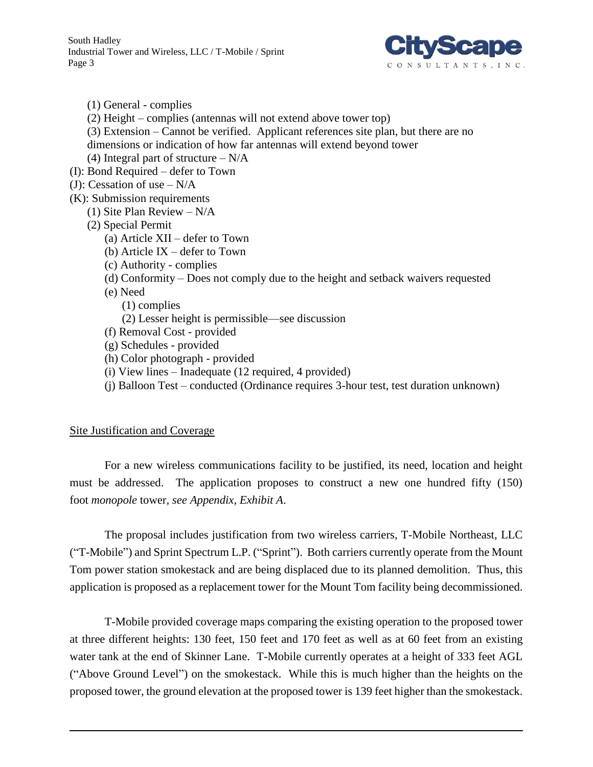

(1) General - complies

(2) Height – complies (antennas will not extend above tower top)

(3) Extension – Cannot be verified. Applicant references site plan, but there are no dimensions or indication of how far antennas will extend beyond tower

(4) Integral part of structure  $-N/A$ 

- (I): Bond Required defer to Town
- (J): Cessation of use  $-N/A$
- (K): Submission requirements
	- (1) Site Plan Review N/A
	- (2) Special Permit
		- (a) Article XII defer to Town
		- (b) Article IX defer to Town
		- (c) Authority complies
		- (d) Conformity Does not comply due to the height and setback waivers requested
		- (e) Need
			- (1) complies
			- (2) Lesser height is permissible—see discussion
		- (f) Removal Cost provided
		- (g) Schedules provided
		- (h) Color photograph provided
		- (i) View lines Inadequate (12 required, 4 provided)
		- (j) Balloon Test conducted (Ordinance requires 3-hour test, test duration unknown)

#### Site Justification and Coverage

For a new wireless communications facility to be justified, its need, location and height must be addressed. The application proposes to construct a new one hundred fifty (150) foot *monopole* tower, *see Appendix, Exhibit A*.

The proposal includes justification from two wireless carriers, T-Mobile Northeast, LLC ("T-Mobile") and Sprint Spectrum L.P. ("Sprint"). Both carriers currently operate from the Mount Tom power station smokestack and are being displaced due to its planned demolition. Thus, this application is proposed as a replacement tower for the Mount Tom facility being decommissioned.

T-Mobile provided coverage maps comparing the existing operation to the proposed tower at three different heights: 130 feet, 150 feet and 170 feet as well as at 60 feet from an existing water tank at the end of Skinner Lane. T-Mobile currently operates at a height of 333 feet AGL ("Above Ground Level") on the smokestack. While this is much higher than the heights on the proposed tower, the ground elevation at the proposed tower is 139 feet higher than the smokestack.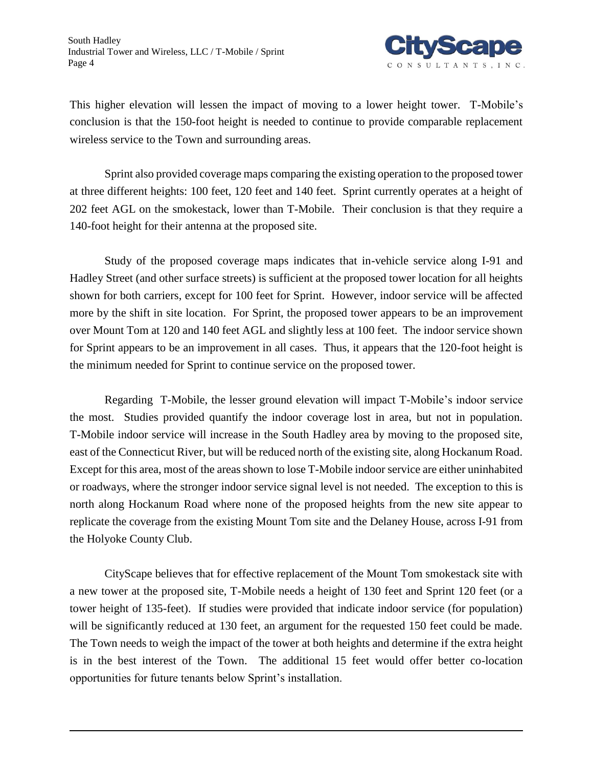

This higher elevation will lessen the impact of moving to a lower height tower. T-Mobile's conclusion is that the 150-foot height is needed to continue to provide comparable replacement wireless service to the Town and surrounding areas.

Sprint also provided coverage maps comparing the existing operation to the proposed tower at three different heights: 100 feet, 120 feet and 140 feet. Sprint currently operates at a height of 202 feet AGL on the smokestack, lower than T-Mobile. Their conclusion is that they require a 140-foot height for their antenna at the proposed site.

Study of the proposed coverage maps indicates that in-vehicle service along I-91 and Hadley Street (and other surface streets) is sufficient at the proposed tower location for all heights shown for both carriers, except for 100 feet for Sprint. However, indoor service will be affected more by the shift in site location. For Sprint, the proposed tower appears to be an improvement over Mount Tom at 120 and 140 feet AGL and slightly less at 100 feet. The indoor service shown for Sprint appears to be an improvement in all cases. Thus, it appears that the 120-foot height is the minimum needed for Sprint to continue service on the proposed tower.

Regarding T-Mobile, the lesser ground elevation will impact T-Mobile's indoor service the most. Studies provided quantify the indoor coverage lost in area, but not in population. T-Mobile indoor service will increase in the South Hadley area by moving to the proposed site, east of the Connecticut River, but will be reduced north of the existing site, along Hockanum Road. Except for this area, most of the areas shown to lose T-Mobile indoor service are either uninhabited or roadways, where the stronger indoor service signal level is not needed. The exception to this is north along Hockanum Road where none of the proposed heights from the new site appear to replicate the coverage from the existing Mount Tom site and the Delaney House, across I-91 from the Holyoke County Club.

CityScape believes that for effective replacement of the Mount Tom smokestack site with a new tower at the proposed site, T-Mobile needs a height of 130 feet and Sprint 120 feet (or a tower height of 135-feet). If studies were provided that indicate indoor service (for population) will be significantly reduced at 130 feet, an argument for the requested 150 feet could be made. The Town needs to weigh the impact of the tower at both heights and determine if the extra height is in the best interest of the Town. The additional 15 feet would offer better co-location opportunities for future tenants below Sprint's installation.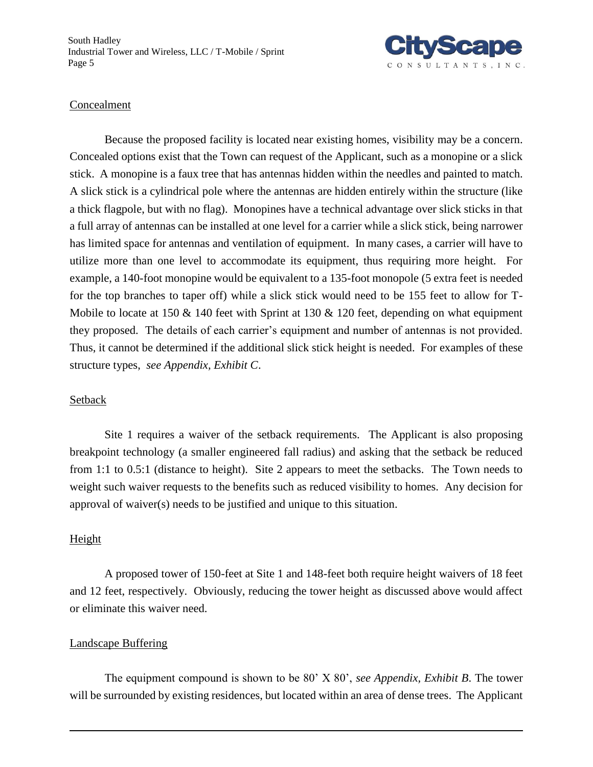South Hadley Industrial Tower and Wireless, LLC / T-Mobile / Sprint Page 5



#### Concealment

Because the proposed facility is located near existing homes, visibility may be a concern. Concealed options exist that the Town can request of the Applicant, such as a monopine or a slick stick. A monopine is a faux tree that has antennas hidden within the needles and painted to match. A slick stick is a cylindrical pole where the antennas are hidden entirely within the structure (like a thick flagpole, but with no flag). Monopines have a technical advantage over slick sticks in that a full array of antennas can be installed at one level for a carrier while a slick stick, being narrower has limited space for antennas and ventilation of equipment. In many cases, a carrier will have to utilize more than one level to accommodate its equipment, thus requiring more height. For example, a 140-foot monopine would be equivalent to a 135-foot monopole (5 extra feet is needed for the top branches to taper off) while a slick stick would need to be 155 feet to allow for T-Mobile to locate at 150  $\&$  140 feet with Sprint at 130  $\&$  120 feet, depending on what equipment they proposed. The details of each carrier's equipment and number of antennas is not provided. Thus, it cannot be determined if the additional slick stick height is needed. For examples of these structure types, *see Appendix, Exhibit C*.

#### Setback

Site 1 requires a waiver of the setback requirements. The Applicant is also proposing breakpoint technology (a smaller engineered fall radius) and asking that the setback be reduced from 1:1 to 0.5:1 (distance to height). Site 2 appears to meet the setbacks. The Town needs to weight such waiver requests to the benefits such as reduced visibility to homes. Any decision for approval of waiver(s) needs to be justified and unique to this situation.

#### Height

A proposed tower of 150-feet at Site 1 and 148-feet both require height waivers of 18 feet and 12 feet, respectively. Obviously, reducing the tower height as discussed above would affect or eliminate this waiver need.

#### Landscape Buffering

The equipment compound is shown to be 80' X 80', *see Appendix, Exhibit B*. The tower will be surrounded by existing residences, but located within an area of dense trees. The Applicant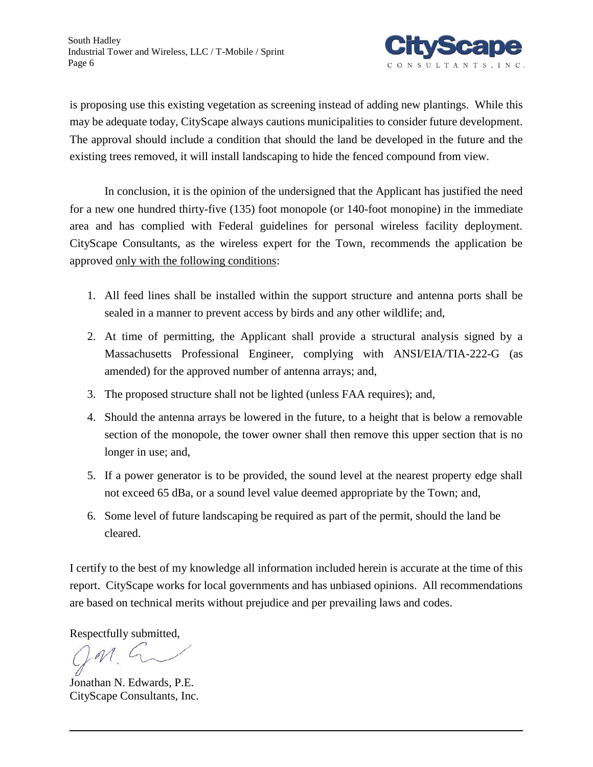

is proposing use this existing vegetation as screening instead of adding new plantings. While this may be adequate today, CityScape always cautions municipalities to consider future development. The approval should include a condition that should the land be developed in the future and the existing trees removed, it will install landscaping to hide the fenced compound from view.

In conclusion, it is the opinion of the undersigned that the Applicant has justified the need for a new one hundred thirty-five (135) foot monopole (or 140-foot monopine) in the immediate area and has complied with Federal guidelines for personal wireless facility deployment. CityScape Consultants, as the wireless expert for the Town, recommends the application be approved only with the following conditions:

- 1. All feed lines shall be installed within the support structure and antenna ports shall be sealed in a manner to prevent access by birds and any other wildlife; and,
- 2. At time of permitting, the Applicant shall provide a structural analysis signed by a Massachusetts Professional Engineer, complying with ANSI/EIA/TIA-222-G (as amended) for the approved number of antenna arrays; and,
- 3. The proposed structure shall not be lighted (unless FAA requires); and,
- 4. Should the antenna arrays be lowered in the future, to a height that is below a removable section of the monopole, the tower owner shall then remove this upper section that is no longer in use; and,
- 5. If a power generator is to be provided, the sound level at the nearest property edge shall not exceed 65 dBa, or a sound level value deemed appropriate by the Town; and,
- 6. Some level of future landscaping be required as part of the permit, should the land be cleared.

I certify to the best of my knowledge all information included herein is accurate at the time of this report. CityScape works for local governments and has unbiased opinions. All recommendations are based on technical merits without prejudice and per prevailing laws and codes.

Respectfully submitted,

Jonathan N. Edwards, P.E. CityScape Consultants, Inc.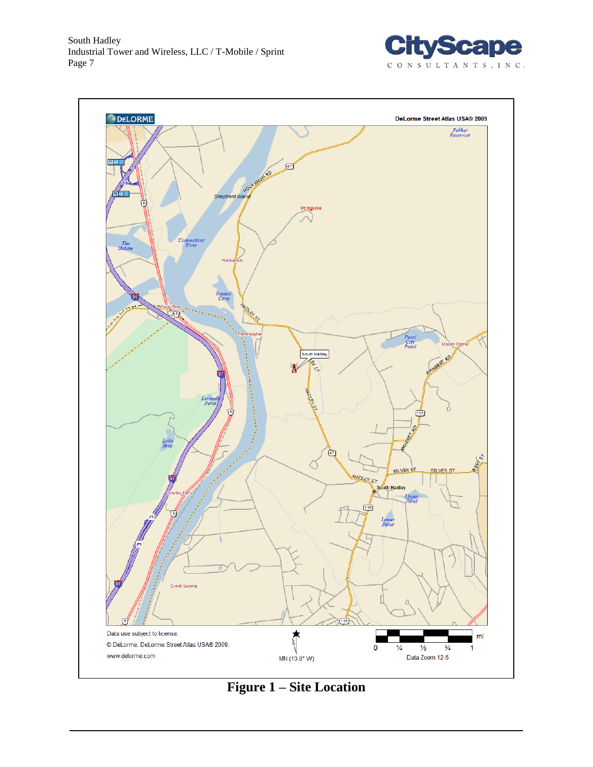



**Figure 1 – Site Location**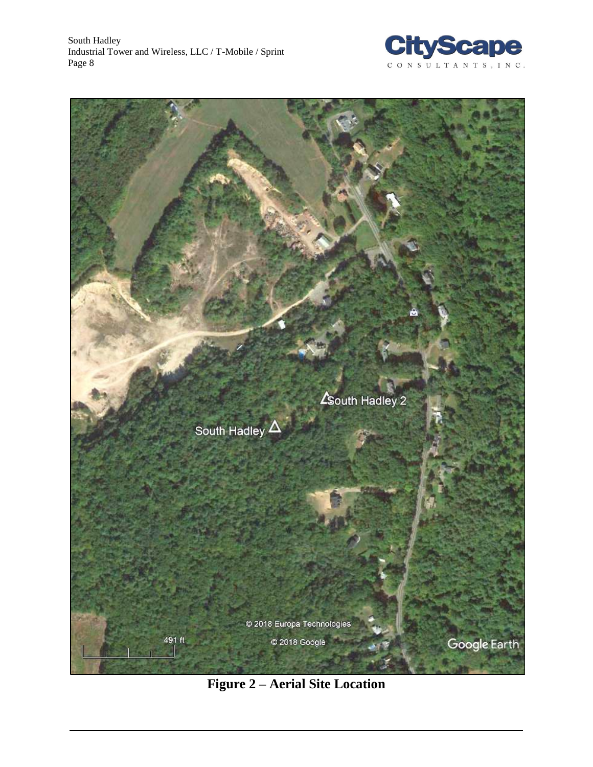



**Figure 2 – Aerial Site Location**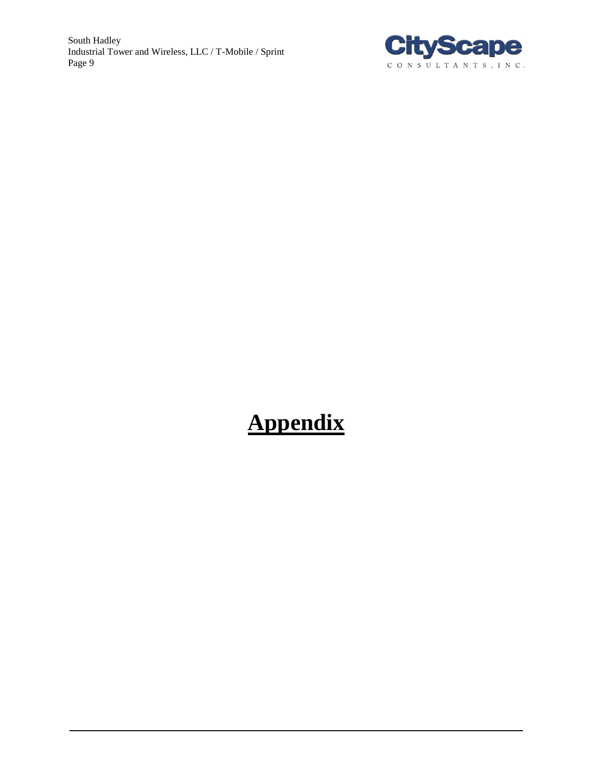South Hadley Industrial Tower and Wireless, LLC / T-Mobile / Sprint Page 9



# **Appendix**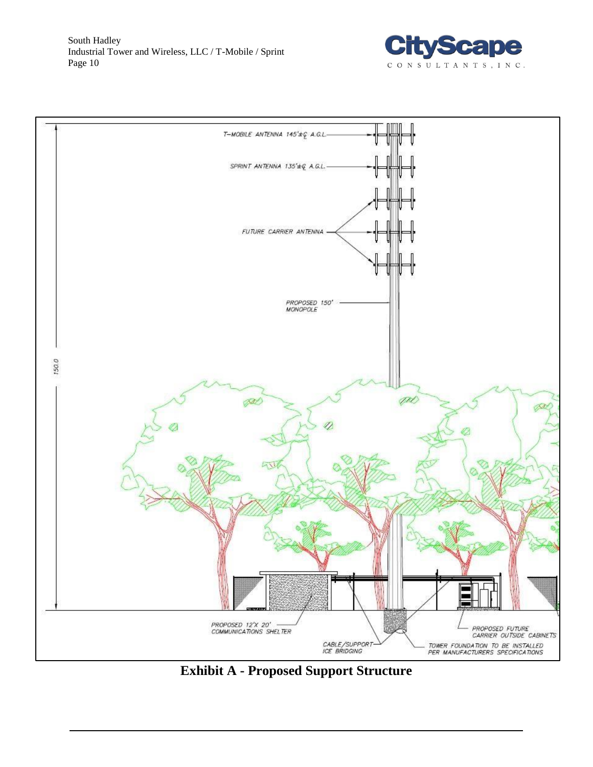



**Exhibit A - Proposed Support Structure**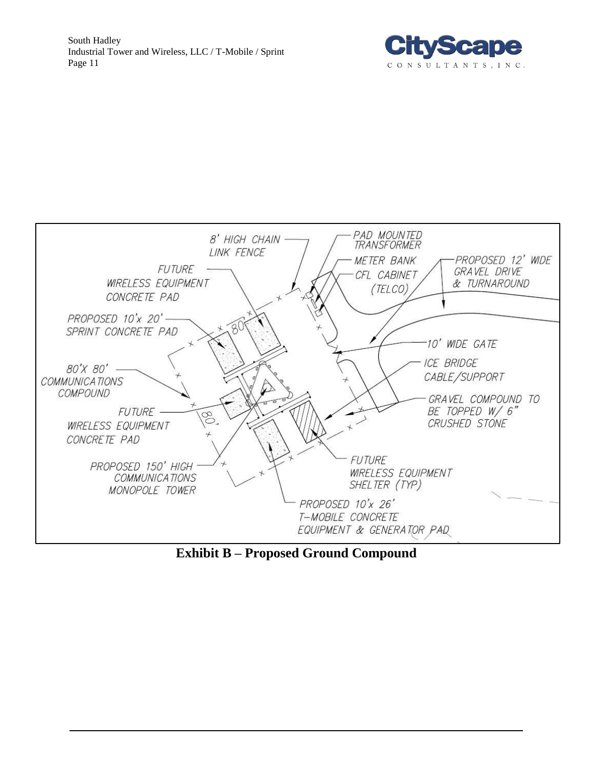



**Exhibit B – Proposed Ground Compound**